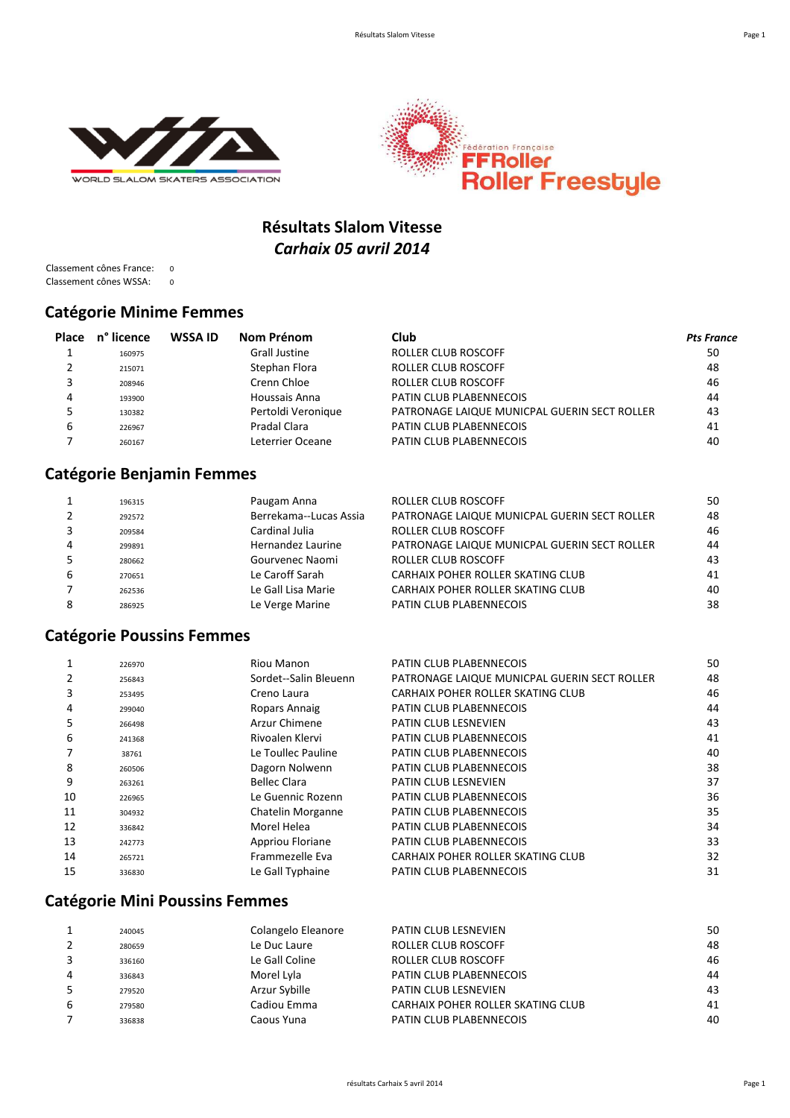



## **Résultats Slalom Vitesse** *Carhaix 05 avril 2014*

Classement cônes France: 0 Classement cônes WSSA: 0

#### **Catégorie Minime Femmes**

| Place | n° licence | <b>WSSA ID</b> | Nom Prénom           | Club                                         | <b>Pts France</b> |
|-------|------------|----------------|----------------------|----------------------------------------------|-------------------|
|       | 160975     |                | <b>Grall Justine</b> | ROLLER CLUB ROSCOFF                          | 50                |
|       | 215071     |                | Stephan Flora        | ROLLER CLUB ROSCOFF                          | 48                |
|       | 208946     |                | Crenn Chloe          | ROLLER CLUB ROSCOFF                          | 46                |
| 4     | 193900     |                | Houssais Anna        | PATIN CLUB PLABENNECOIS                      | 44                |
|       | 130382     |                | Pertoldi Veronique   | PATRONAGE LAIQUE MUNICPAL GUERIN SECT ROLLER | 43                |
| ь     | 226967     |                | Pradal Clara         | PATIN CLUB PLABENNECOIS                      | 41                |
|       | 260167     |                | Leterrier Oceane     | PATIN CLUB PLABENNECOIS                      | 40                |

#### **Catégorie Benjamin Femmes**

|   | 196315 | Paugam Anna            | ROLLER CLUB ROSCOFF                          | 50 |
|---|--------|------------------------|----------------------------------------------|----|
|   | 292572 | Berrekama--Lucas Assia | PATRONAGE LAIQUE MUNICPAL GUERIN SECT ROLLER | 48 |
|   | 209584 | Cardinal Julia         | <b>ROLLER CLUB ROSCOFF</b>                   | 46 |
| 4 | 299891 | Hernandez Laurine      | PATRONAGE LAIQUE MUNICPAL GUERIN SECT ROLLER | 44 |
|   | 280662 | Gourvenec Naomi        | <b>ROLLER CLUB ROSCOFF</b>                   | 43 |
| 6 | 270651 | Le Caroff Sarah        | CARHAIX POHER ROLLER SKATING CLUB            | 41 |
|   | 262536 | Le Gall Lisa Marie     | CARHAIX POHER ROLLER SKATING CLUB            | 40 |
|   | 286925 | Le Verge Marine        | PATIN CLUB PLABENNECOIS                      | 38 |
|   |        |                        |                                              |    |

#### **Catégorie Poussins Femmes**

| 226970 | Riou Manon            | PATIN CLUB PLABENNECOIS                      | 50 |
|--------|-----------------------|----------------------------------------------|----|
| 256843 | Sordet--Salin Bleuenn | PATRONAGE LAIQUE MUNICPAL GUERIN SECT ROLLER | 48 |
| 253495 | Creno Laura           | CARHAIX POHER ROLLER SKATING CLUB            | 46 |
| 299040 | Ropars Annaig         | PATIN CLUB PLABENNECOIS                      | 44 |
| 266498 | Arzur Chimene         | PATIN CLUB LESNEVIEN                         | 43 |
| 241368 | Rivoalen Klervi       | PATIN CLUB PLABENNECOIS                      | 41 |
| 38761  | Le Toullec Pauline    | PATIN CLUB PLABENNECOIS                      | 40 |
| 260506 | Dagorn Nolwenn        | PATIN CLUB PLABENNECOIS                      | 38 |
| 263261 | Bellec Clara          | PATIN CLUB LESNEVIEN                         | 37 |
| 226965 | Le Guennic Rozenn     | PATIN CLUB PLABENNECOIS                      | 36 |
| 304932 | Chatelin Morganne     | PATIN CLUB PLABENNECOIS                      | 35 |
| 336842 | Morel Helea           | PATIN CLUB PLABENNECOIS                      | 34 |
| 242773 | Appriou Floriane      | PATIN CLUB PLABENNECOIS                      | 33 |
| 265721 | Frammezelle Eva       | CARHAIX POHER ROLLER SKATING CLUB            | 32 |
| 336830 | Le Gall Typhaine      | PATIN CLUB PLABENNECOIS                      | 31 |
|        |                       |                                              |    |

## **Catégorie Mini Poussins Femmes**

|   | 240045 | Colangelo Eleanore | <b>PATIN CLUB LESNEVIEN</b>       | 50 |
|---|--------|--------------------|-----------------------------------|----|
|   | 280659 | Le Duc Laure       | ROLLER CLUB ROSCOFF               | 48 |
|   | 336160 | Le Gall Coline     | ROLLER CLUB ROSCOFF               | 46 |
| 4 | 336843 | Morel Lyla         | PATIN CLUB PLABENNECOIS           | 44 |
|   | 279520 | Arzur Sybille      | <b>PATIN CLUB LESNEVIEN</b>       | 43 |
| b | 279580 | Cadiou Emma        | CARHAIX POHER ROLLER SKATING CLUB | 41 |
|   | 336838 | Caous Yuna         | PATIN CLUB PLABENNECOIS           | 40 |
|   |        |                    |                                   |    |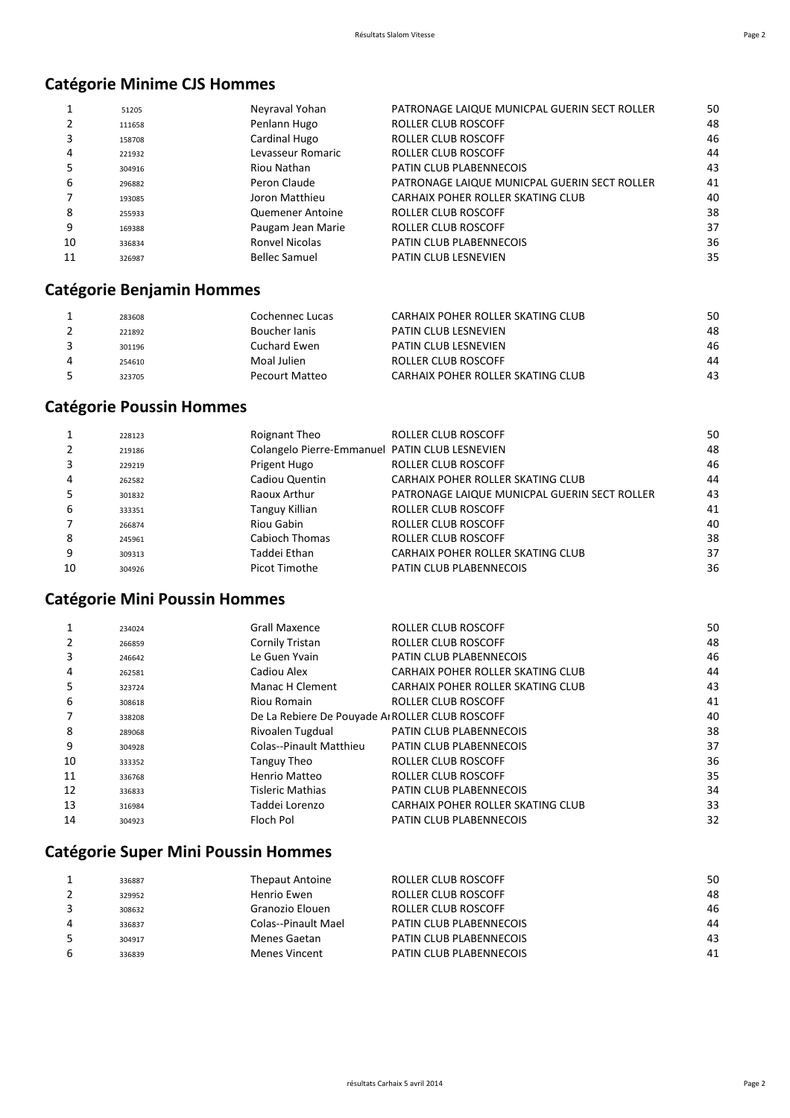## **Catégorie Minime CJS Hommes**

|    | 51205  | Neyraval Yohan       | PATRONAGE LAIQUE MUNICPAL GUERIN SECT ROLLER | 50 |
|----|--------|----------------------|----------------------------------------------|----|
|    | 111658 | Penlann Hugo         | ROLLER CLUB ROSCOFF                          | 48 |
| 3  | 158708 | Cardinal Hugo        | ROLLER CLUB ROSCOFF                          | 46 |
| 4  | 221932 | Levasseur Romaric    | ROLLER CLUB ROSCOFF                          | 44 |
| 5  | 304916 | Riou Nathan          | PATIN CLUB PLABENNECOIS                      | 43 |
| 6  | 296882 | Peron Claude         | PATRONAGE LAIQUE MUNICPAL GUERIN SECT ROLLER | 41 |
|    | 193085 | Joron Matthieu       | CARHAIX POHER ROLLER SKATING CLUB            | 40 |
| 8  | 255933 | Quemener Antoine     | ROLLER CLUB ROSCOFF                          | 38 |
| 9  | 169388 | Paugam Jean Marie    | ROLLER CLUB ROSCOFF                          | 37 |
| 10 | 336834 | Ronvel Nicolas       | PATIN CLUB PLABENNECOIS                      | 36 |
| 11 | 326987 | <b>Bellec Samuel</b> | PATIN CLUB LESNEVIEN                         | 35 |

## **Catégorie Benjamin Hommes**

| 283608 | Cochennec Lucas | CARHAIX POHER ROLLER SKATING CLUB | 50 |
|--------|-----------------|-----------------------------------|----|
| 221892 | Boucher Janis   | PATIN CLUB LESNEVIEN              | 48 |
| 301196 | Cuchard Ewen    | <b>PATIN CLUB LESNEVIEN</b>       | 46 |
| 254610 | Moal Julien     | ROLLER CLUB ROSCOFF               | 44 |
| 323705 | Pecourt Matteo  | CARHAIX POHER ROLLER SKATING CLUB | 43 |

## **Catégorie Poussin Hommes**

|    | 228123 | Roignant Theo                                  | ROLLER CLUB ROSCOFF                          | 50 |
|----|--------|------------------------------------------------|----------------------------------------------|----|
|    | 219186 | Colangelo Pierre-Emmanuel PATIN CLUB LESNEVIEN |                                              | 48 |
|    | 229219 | Prigent Hugo                                   | ROLLER CLUB ROSCOFF                          | 46 |
| 4  | 262582 | Cadiou Quentin                                 | CARHAIX POHER ROLLER SKATING CLUB            | 44 |
|    | 301832 | Raoux Arthur                                   | PATRONAGE LAIQUE MUNICPAL GUERIN SECT ROLLER | 43 |
| 6  | 333351 | Tanguy Killian                                 | ROLLER CLUB ROSCOFF                          | 41 |
|    | 266874 | Riou Gabin                                     | ROLLER CLUB ROSCOFF                          | 40 |
| 8  | 245961 | Cabioch Thomas                                 | ROLLER CLUB ROSCOFF                          | 38 |
| 9  | 309313 | Taddei Ethan                                   | CARHAIX POHER ROLLER SKATING CLUB            | 37 |
| 10 | 304926 | Picot Timothe                                  | PATIN CLUB PLABENNECOIS                      | 36 |

## **Catégorie Mini Poussin Hommes**

|    | 234024 | <b>Grall Maxence</b>    | ROLLER CLUB ROSCOFF                            | 50 |
|----|--------|-------------------------|------------------------------------------------|----|
|    | 266859 | Cornily Tristan         | ROLLER CLUB ROSCOFF                            | 48 |
| 3  | 246642 | Le Guen Yvain           | PATIN CLUB PLABENNECOIS                        | 46 |
| 4  | 262581 | Cadiou Alex             | CARHAIX POHER ROLLER SKATING CLUB              | 44 |
| 5  | 323724 | <b>Manac H Clement</b>  | CARHAIX POHER ROLLER SKATING CLUB              | 43 |
| 6  | 308618 | Riou Romain             | ROLLER CLUB ROSCOFF                            | 41 |
|    | 338208 |                         | De La Rebiere De Pouvade AIROLLER CLUB ROSCOFF | 40 |
| 8  | 289068 | Rivoalen Tugdual        | PATIN CLUB PLABENNECOIS                        | 38 |
| 9  | 304928 | Colas--Pinault Matthieu | PATIN CLUB PLABENNECOIS                        | 37 |
| 10 | 333352 | Tanguy Theo             | ROLLER CLUB ROSCOFF                            | 36 |
| 11 | 336768 | Henrio Matteo           | ROLLER CLUB ROSCOFF                            | 35 |
| 12 | 336833 | <b>Tisleric Mathias</b> | PATIN CLUB PLABENNECOIS                        | 34 |
| 13 | 316984 | Taddei Lorenzo          | CARHAIX POHER ROLLER SKATING CLUB              | 33 |
| 14 | 304923 | Floch Pol               | PATIN CLUB PLABENNECOIS                        | 32 |

# **Catégorie Super Mini Poussin Hommes**

| 336887 | <b>Thepaut Antoine</b> | ROLLER CLUB ROSCOFF     | 50 |
|--------|------------------------|-------------------------|----|
| 329952 | Henrio Ewen            | ROLLER CLUB ROSCOFF     | 48 |
| 308632 | Granozio Elouen        | ROLLER CLUB ROSCOFF     | 46 |
| 336837 | Colas--Pinault Mael    | PATIN CLUB PLABENNECOIS | 44 |
| 304917 | Menes Gaetan           | PATIN CLUB PLABENNECOIS | 43 |
| 336839 | Menes Vincent          | PATIN CLUB PLABENNECOIS | 41 |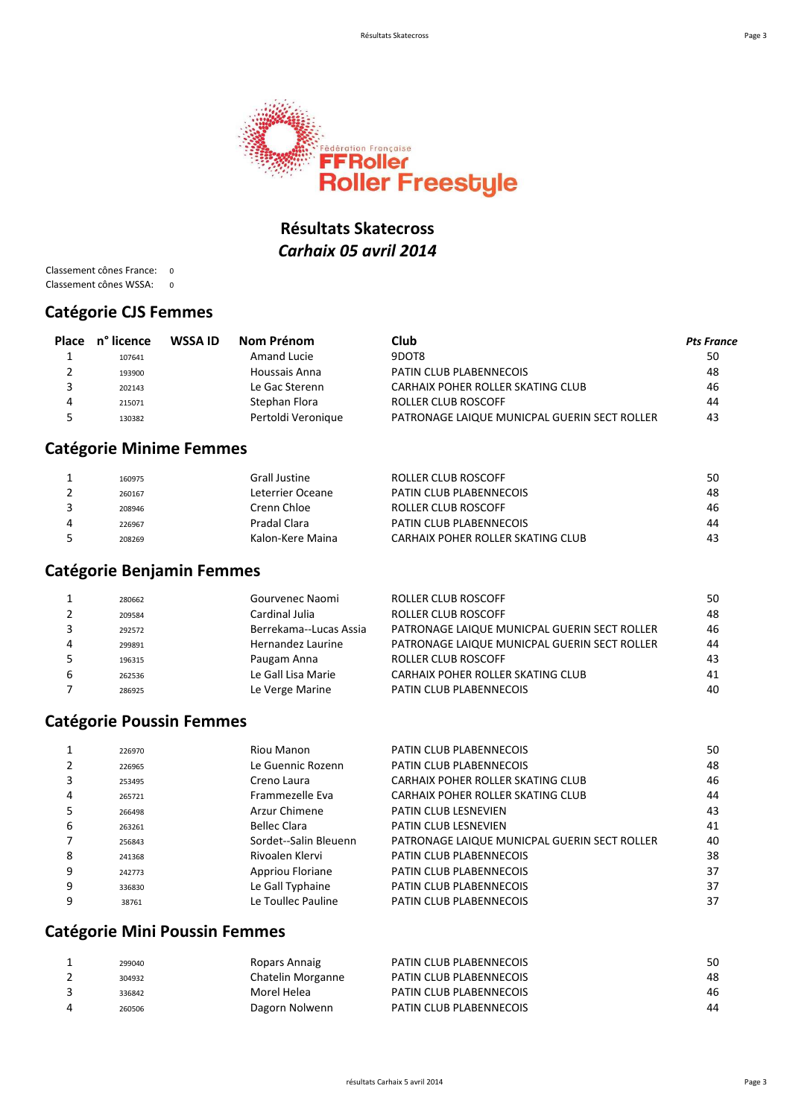

#### **Résultats Skatecross** *Carhaix 05 avril 2014*

Classement cônes France: 0 Classement cônes WSSA: 0

#### **Catégorie CJS Femmes**

| <b>Place</b> | n° licence | WSSA ID | Nom Prénom         | Club                                         | <b>Pts France</b> |
|--------------|------------|---------|--------------------|----------------------------------------------|-------------------|
|              | 107641     |         | Amand Lucie        | 9DOT8                                        | 50                |
|              | 193900     |         | Houssais Anna      | PATIN CLUB PLABENNECOIS                      | 48                |
|              | 202143     |         | Le Gac Sterenn     | CARHAIX POHER ROLLER SKATING CLUB            | 46                |
| 4            | 215071     |         | Stephan Flora      | <b>ROLLER CLUB ROSCOFF</b>                   | 44                |
|              | 130382     |         | Pertoldi Veronique | PATRONAGE LAIQUE MUNICPAL GUERIN SECT ROLLER | 43                |

#### **Catégorie Minime Femmes**

| 160975 | <b>Grall Justine</b> | ROLLER CLUB ROSCOFF               | 50 |
|--------|----------------------|-----------------------------------|----|
| 260167 | Leterrier Oceane     | PATIN CLUB PLABENNECOIS           | 48 |
| 208946 | Crenn Chloe          | ROLLER CLUB ROSCOFF               | 46 |
| 226967 | Pradal Clara         | PATIN CLUB PLABENNECOIS           | 44 |
| 208269 | Kalon-Kere Maina     | CARHAIX POHER ROLLER SKATING CLUB | 43 |

#### **Catégorie Benjamin Femmes**

|   | 280662 | Gourvenec Naomi        | ROLLER CLUB ROSCOFF                          | 50 |
|---|--------|------------------------|----------------------------------------------|----|
|   | 209584 | Cardinal Julia         | <b>ROLLER CLUB ROSCOFF</b>                   | 48 |
|   | 292572 | Berrekama--Lucas Assia | PATRONAGE LAIQUE MUNICPAL GUERIN SECT ROLLER | 46 |
| 4 | 299891 | Hernandez Laurine      | PATRONAGE LAIQUE MUNICPAL GUERIN SECT ROLLER | 44 |
|   | 196315 | Paugam Anna            | <b>ROLLER CLUB ROSCOFF</b>                   | 43 |
| 6 | 262536 | Le Gall Lisa Marie     | CARHAIX POHER ROLLER SKATING CLUB            | 41 |
|   | 286925 | Le Verge Marine        | PATIN CLUB PLABENNECOIS                      | 40 |
|   |        |                        |                                              |    |

#### **Catégorie Poussin Femmes**

|   | 226970 | Riou Manon            | PATIN CLUB PLABENNECOIS                      | 50 |
|---|--------|-----------------------|----------------------------------------------|----|
|   | 226965 | Le Guennic Rozenn     | PATIN CLUB PLABENNECOIS                      | 48 |
| 3 | 253495 | Creno Laura           | CARHAIX POHER ROLLER SKATING CLUB            | 46 |
| 4 | 265721 | Frammezelle Eva       | CARHAIX POHER ROLLER SKATING CLUB            | 44 |
| 5 | 266498 | Arzur Chimene         | <b>PATIN CLUB LESNEVIEN</b>                  | 43 |
| 6 | 263261 | <b>Bellec Clara</b>   | <b>PATIN CLUB LESNEVIEN</b>                  | 41 |
|   | 256843 | Sordet--Salin Bleuenn | PATRONAGE LAIQUE MUNICPAL GUERIN SECT ROLLER | 40 |
| 8 | 241368 | Rivoalen Klervi       | PATIN CLUB PLABENNECOIS                      | 38 |
| 9 | 242773 | Appriou Floriane      | PATIN CLUB PLABENNECOIS                      | 37 |
| 9 | 336830 | Le Gall Typhaine      | PATIN CLUB PLABENNECOIS                      | 37 |
| 9 | 38761  | Le Toullec Pauline    | PATIN CLUB PLABENNECOIS                      | 37 |
|   |        |                       |                                              |    |

#### **Catégorie Mini Poussin Femmes**

| 299040 | Ropars Annaig     | PATIN CLUB PLABENNECOIS | 50 |
|--------|-------------------|-------------------------|----|
| 304932 | Chatelin Morganne | PATIN CLUB PLABENNECOIS | 48 |
| 336842 | Morel Helea       | PATIN CLUB PLABENNECOIS | 46 |
| 260506 | Dagorn Nolwenn    | PATIN CLUB PLABENNECOIS | 44 |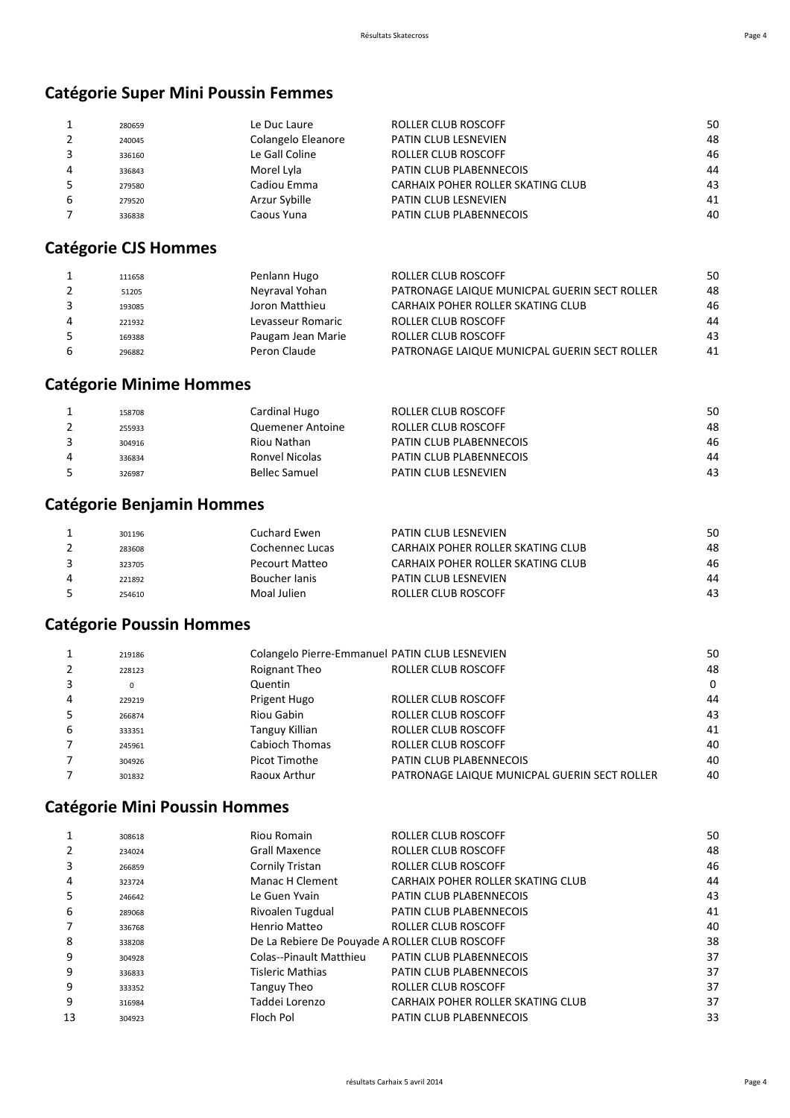### **Catégorie Super Mini Poussin Femmes**

|   | 280659 | Le Duc Laure       | ROLLER CLUB ROSCOFF               | 50 |
|---|--------|--------------------|-----------------------------------|----|
|   | 240045 | Colangelo Eleanore | PATIN CLUB LESNEVIEN              | 48 |
|   | 336160 | Le Gall Coline     | <b>ROLLER CLUB ROSCOFF</b>        | 46 |
| 4 | 336843 | Morel Lyla         | PATIN CLUB PLABENNECOIS           | 44 |
|   | 279580 | Cadiou Emma        | CARHAIX POHER ROLLER SKATING CLUB | 43 |
| 6 | 279520 | Arzur Sybille      | <b>PATIN CLUB LESNEVIEN</b>       | 41 |
|   | 336838 | Caous Yuna         | PATIN CLUB PLABENNECOIS           | 40 |
|   |        |                    |                                   |    |

## **Catégorie CJS Hommes**

|   | 111658 | Penlann Hugo      | ROLLER CLUB ROSCOFF                          | 50 |
|---|--------|-------------------|----------------------------------------------|----|
|   | 51205  | Neyraval Yohan    | PATRONAGE LAIQUE MUNICPAL GUERIN SECT ROLLER | 48 |
|   | 193085 | Joron Matthieu    | CARHAIX POHER ROLLER SKATING CLUB            | 46 |
| 4 | 221932 | Levasseur Romaric | ROLLER CLUB ROSCOFF                          | 44 |
|   | 169388 | Paugam Jean Marie | <b>ROLLER CLUB ROSCOFF</b>                   | 43 |
|   | 296882 | Peron Claude      | PATRONAGE LAIQUE MUNICPAL GUERIN SECT ROLLER | 41 |

#### **Catégorie Minime Hommes**

| 158708 | Cardinal Hugo        | ROLLER CLUB ROSCOFF            | 50 |
|--------|----------------------|--------------------------------|----|
| 255933 | Quemener Antoine     | ROLLER CLUB ROSCOFF            | 48 |
| 304916 | Riou Nathan          | <b>PATIN CLUB PLABENNECOIS</b> | 46 |
| 336834 | Ronvel Nicolas       | <b>PATIN CLUB PLABENNECOIS</b> | 44 |
| 326987 | <b>Bellec Samuel</b> | <b>PATIN CLUB LESNEVIEN</b>    | 43 |

## **Catégorie Benjamin Hommes**

| 301196 | Cuchard Ewen    | PATIN CLUB LESNEVIEN              | 50 |
|--------|-----------------|-----------------------------------|----|
| 283608 | Cochennec Lucas | CARHAIX POHER ROLLER SKATING CLUB | 48 |
| 323705 | Pecourt Matteo  | CARHAIX POHER ROLLER SKATING CLUB | 46 |
| 221892 | Boucher lanis   | PATIN CLUB LESNEVIEN              | 44 |
| 254610 | Moal Julien     | ROLLER CLUB ROSCOFF               | 43 |

## **Catégorie Poussin Hommes**

|   | 219186 |                | Colangelo Pierre-Emmanuel PATIN CLUB LESNEVIEN | 50       |
|---|--------|----------------|------------------------------------------------|----------|
|   | 228123 | Roignant Theo  | <b>ROLLER CLUB ROSCOFF</b>                     | 48       |
|   | 0      | Quentin        |                                                | $\Omega$ |
| 4 | 229219 | Prigent Hugo   | ROLLER CLUB ROSCOFF                            | 44       |
|   | 266874 | Riou Gabin     | <b>ROLLER CLUB ROSCOFF</b>                     | 43       |
| 6 | 333351 | Tanguy Killian | <b>ROLLER CLUB ROSCOFF</b>                     | 41       |
|   | 245961 | Cabioch Thomas | <b>ROLLER CLUB ROSCOFF</b>                     | 40       |
|   | 304926 | Picot Timothe  | PATIN CLUB PLABENNECOIS                        | 40       |
|   | 301832 | Raoux Arthur   | PATRONAGE LAIQUE MUNICPAL GUERIN SECT ROLLER   | 40       |
|   |        |                |                                                |          |

#### **Catégorie Mini Poussin Hommes**

| 1  | 308618 | Riou Romain                                    | ROLLER CLUB ROSCOFF               | 50 |
|----|--------|------------------------------------------------|-----------------------------------|----|
| 2  | 234024 | <b>Grall Maxence</b>                           | ROLLER CLUB ROSCOFF               | 48 |
| 3  | 266859 | Cornily Tristan                                | <b>ROLLER CLUB ROSCOFF</b>        | 46 |
| 4  | 323724 | Manac H Clement                                | CARHAIX POHER ROLLER SKATING CLUB | 44 |
| -5 | 246642 | Le Guen Yvain                                  | PATIN CLUB PLABENNECOIS           | 43 |
| 6  | 289068 | Rivoalen Tugdual                               | <b>PATIN CLUB PLABENNECOIS</b>    | 41 |
|    | 336768 | Henrio Matteo                                  | ROLLER CLUB ROSCOFF               | 40 |
| 8  | 338208 | De La Rebiere De Pouyade A ROLLER CLUB ROSCOFF |                                   | 38 |
| 9  | 304928 | <b>Colas--Pinault Matthieu</b>                 | <b>PATIN CLUB PLABENNECOIS</b>    | 37 |
| 9  | 336833 | <b>Tisleric Mathias</b>                        | PATIN CLUB PLABENNECOIS           | 37 |
| 9  | 333352 | Tanguy Theo                                    | ROLLER CLUB ROSCOFF               | 37 |
| 9  | 316984 | Taddei Lorenzo                                 | CARHAIX POHER ROLLER SKATING CLUB | 37 |
| 13 | 304923 | Floch Pol                                      | <b>PATIN CLUB PLABENNECOIS</b>    | 33 |
|    |        |                                                |                                   |    |